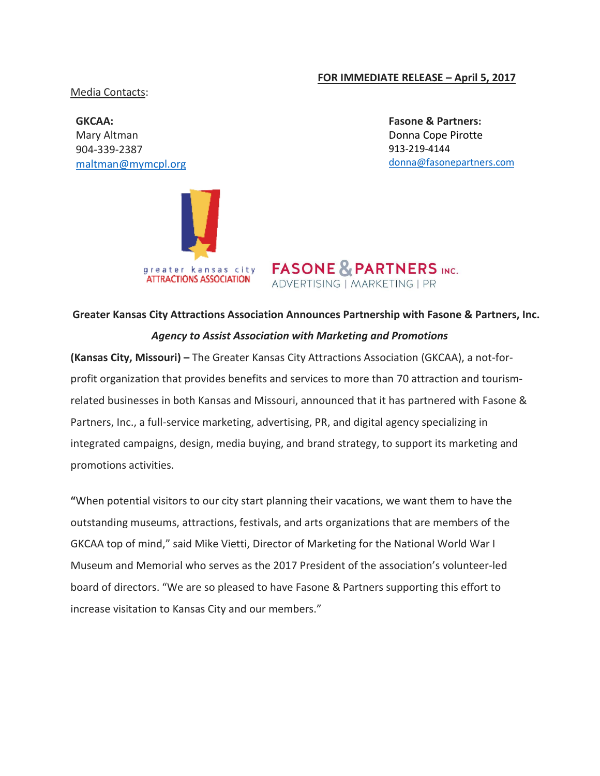## **FOR IMMEDIATE RELEASE – April 5, 2017**

Media Contacts:

**GKCAA:**  Mary Altman 904-339-2387 [maltman@mymcpl.org](mailto:maltman@mymcpl.org)



**Fasone & Partners:**  Donna Cope Pirotte 913-219-4144 [donna@fasonepartners.com](mailto:donna@fasonepartners.com)



## **Greater Kansas City Attractions Association Announces Partnership with Fasone & Partners, Inc.** *Agency to Assist Association with Marketing and Promotions*

**(Kansas City, Missouri) –** The Greater Kansas City Attractions Association (GKCAA), a not-forprofit organization that provides benefits and services to more than 70 attraction and tourismrelated businesses in both Kansas and Missouri, announced that it has partnered with Fasone & Partners, Inc., a full-service marketing, advertising, PR, and digital agency specializing in integrated campaigns, design, media buying, and brand strategy, to support its marketing and promotions activities.

**"**When potential visitors to our city start planning their vacations, we want them to have the outstanding museums, attractions, festivals, and arts organizations that are members of the GKCAA top of mind," said Mike Vietti, Director of Marketing for the National World War I Museum and Memorial who serves as the 2017 President of the association's volunteer-led board of directors. "We are so pleased to have Fasone & Partners supporting this effort to increase visitation to Kansas City and our members."